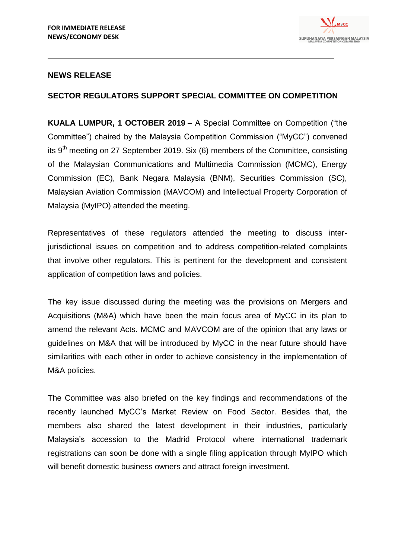

## **NEWS RELEASE**

## **SECTOR REGULATORS SUPPORT SPECIAL COMMITTEE ON COMPETITION**

**KUALA LUMPUR, 1 OCTOBER 2019** – A Special Committee on Competition ("the Committee") chaired by the Malaysia Competition Commission ("MyCC") convened its  $9<sup>th</sup>$  meeting on 27 September 2019. Six (6) members of the Committee, consisting of the Malaysian Communications and Multimedia Commission (MCMC), Energy Commission (EC), Bank Negara Malaysia (BNM), Securities Commission (SC), Malaysian Aviation Commission (MAVCOM) and Intellectual Property Corporation of Malaysia (MyIPO) attended the meeting.

Representatives of these regulators attended the meeting to discuss interjurisdictional issues on competition and to address competition-related complaints that involve other regulators. This is pertinent for the development and consistent application of competition laws and policies.

The key issue discussed during the meeting was the provisions on Mergers and Acquisitions (M&A) which have been the main focus area of MyCC in its plan to amend the relevant Acts. MCMC and MAVCOM are of the opinion that any laws or guidelines on M&A that will be introduced by MyCC in the near future should have similarities with each other in order to achieve consistency in the implementation of M&A policies.

The Committee was also briefed on the key findings and recommendations of the recently launched MyCC's Market Review on Food Sector. Besides that, the members also shared the latest development in their industries, particularly Malaysia's accession to the Madrid Protocol where international trademark registrations can soon be done with a single filing application through MyIPO which will benefit domestic business owners and attract foreign investment.